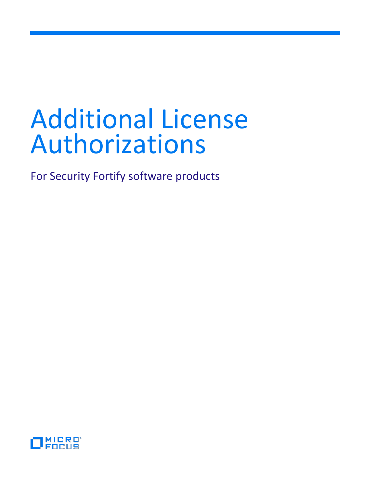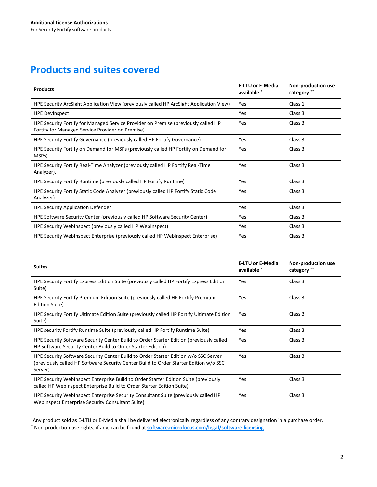# **Products and suites covered**

| <b>Products</b>                                                                                                                        | <b>E-LTU or E-Media</b><br>available * | Non-production use<br>category ** |
|----------------------------------------------------------------------------------------------------------------------------------------|----------------------------------------|-----------------------------------|
| HPE Security ArcSight Application View (previously called HP ArcSight Application View)                                                | Yes                                    | Class 1                           |
| <b>HPE DevInspect</b>                                                                                                                  | Yes                                    | Class 3                           |
| HPE Security Fortify for Managed Service Provider on Premise (previously called HP<br>Fortify for Managed Service Provider on Premise) | Yes                                    | Class 3                           |
| HPE Security Fortify Governance (previously called HP Fortify Governance)                                                              | Yes                                    | Class 3                           |
| HPE Security Fortify on Demand for MSPs (previously called HP Fortify on Demand for<br>MSP <sub>S</sub> )                              | Yes                                    | Class 3                           |
| HPE Security Fortify Real-Time Analyzer (previously called HP Fortify Real-Time<br>Analyzer).                                          | Yes                                    | Class 3                           |
| HPE Security Fortify Runtime (previously called HP Fortify Runtime)                                                                    | Yes                                    | Class 3                           |
| HPE Security Fortify Static Code Analyzer (previously called HP Fortify Static Code<br>Analyzer)                                       | Yes                                    | Class 3                           |
| <b>HPE Security Application Defender</b>                                                                                               | Yes                                    | Class 3                           |
| HPE Software Security Center (previously called HP Software Security Center)                                                           | Yes                                    | Class 3                           |
| HPE Security WebInspect (previously called HP WebInspect)                                                                              | Yes                                    | Class 3                           |
| HPE Security WebInspect Enterprise (previously called HP WebInspect Enterprise)                                                        | Yes                                    | Class 3                           |

| <b>Suites</b>                                                                                                                                                                           | <b>E-LTU or E-Media</b><br>available * | <b>Non-production use</b><br>category ** |
|-----------------------------------------------------------------------------------------------------------------------------------------------------------------------------------------|----------------------------------------|------------------------------------------|
| HPE Security Fortify Express Edition Suite (previously called HP Fortify Express Edition<br>Suite)                                                                                      | Yes                                    | Class 3                                  |
| HPE Security Fortify Premium Edition Suite (previously called HP Fortify Premium<br><b>Edition Suite)</b>                                                                               | Yes                                    | Class 3                                  |
| HPE Security Fortify Ultimate Edition Suite (previously called HP Fortify Ultimate Edition<br>Suite)                                                                                    | Yes                                    | Class 3                                  |
| HPE security Fortify Runtime Suite (previously called HP Fortify Runtime Suite)                                                                                                         | Yes                                    | Class 3                                  |
| HPE Security Software Security Center Build to Order Starter Edition (previously called<br>HP Software Security Center Build to Order Starter Edition)                                  | Yes                                    | Class 3                                  |
| HPE Security Software Security Center Build to Order Starter Edition w/o SSC Server<br>(previously called HP Software Security Center Build to Order Starter Edition w/o SSC<br>Server) | Yes                                    | Class 3                                  |
| HPE Security WebInspect Enterprise Build to Order Starter Edition Suite (previously<br>called HP WebInspect Enterprise Build to Order Starter Edition Suite)                            | Yes                                    | Class 3                                  |
| HPE Security WebInspect Enterprise Security Consultant Suite (previously called HP<br>WebInspect Enterprise Security Consultant Suite)                                                  | Yes                                    | Class 3                                  |

\* Any product sold as E-LTU or E-Media shall be delivered electronically regardless of any contrary designation in a purchase order. \*\* Non-production use rights, if any, can be found at **[software.microfocus.com/legal/software-licensing](https://software.microfocus.com/legal/software-licensing)**.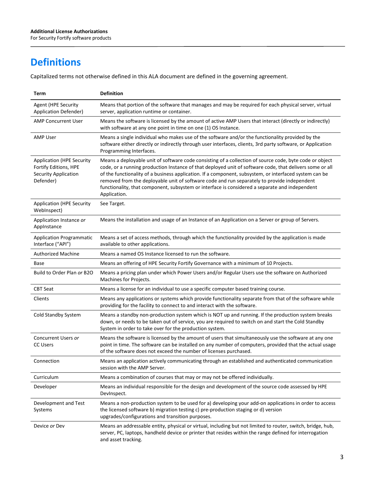# **Definitions**

Capitalized terms not otherwise defined in this ALA document are defined in the governing agreement.

| Term                                                                                           | <b>Definition</b>                                                                                                                                                                                                                                                                                                                                                                                                                                                                                                                              |
|------------------------------------------------------------------------------------------------|------------------------------------------------------------------------------------------------------------------------------------------------------------------------------------------------------------------------------------------------------------------------------------------------------------------------------------------------------------------------------------------------------------------------------------------------------------------------------------------------------------------------------------------------|
| Agent (HPE Security<br><b>Application Defender)</b>                                            | Means that portion of the software that manages and may be required for each physical server, virtual<br>server, application runtime or container.                                                                                                                                                                                                                                                                                                                                                                                             |
| <b>AMP Concurrent User</b>                                                                     | Means the software is licensed by the amount of active AMP Users that interact (directly or indirectly)<br>with software at any one point in time on one (1) OS Instance.                                                                                                                                                                                                                                                                                                                                                                      |
| <b>AMP User</b>                                                                                | Means a single individual who makes use of the software and/or the functionality provided by the<br>software either directly or indirectly through user interfaces, clients, 3rd party software, or Application<br>Programming Interfaces.                                                                                                                                                                                                                                                                                                     |
| <b>Application (HPE Security</b><br>Fortify Editions, HPE<br>Security Application<br>Defender) | Means a deployable unit of software code consisting of a collection of source code, byte code or object<br>code, or a running production Instance of that deployed unit of software code, that delivers some or all<br>of the functionality of a business application. If a component, subsystem, or interfaced system can be<br>removed from the deployable unit of software code and run separately to provide independent<br>functionality, that component, subsystem or interface is considered a separate and independent<br>Application. |
| <b>Application (HPE Security</b><br>WebInspect)                                                | See Target.                                                                                                                                                                                                                                                                                                                                                                                                                                                                                                                                    |
| Application Instance or<br>AppInstance                                                         | Means the installation and usage of an Instance of an Application on a Server or group of Servers.                                                                                                                                                                                                                                                                                                                                                                                                                                             |
| <b>Application Programmatic</b><br>Interface ("API")                                           | Means a set of access methods, through which the functionality provided by the application is made<br>available to other applications.                                                                                                                                                                                                                                                                                                                                                                                                         |
| <b>Authorized Machine</b>                                                                      | Means a named OS Instance licensed to run the software.                                                                                                                                                                                                                                                                                                                                                                                                                                                                                        |
| Base                                                                                           | Means an offering of HPE Security Fortify Governance with a minimum of 10 Projects.                                                                                                                                                                                                                                                                                                                                                                                                                                                            |
| Build to Order Plan or B2O                                                                     | Means a pricing plan under which Power Users and/or Regular Users use the software on Authorized<br>Machines for Projects.                                                                                                                                                                                                                                                                                                                                                                                                                     |
| <b>CBT Seat</b>                                                                                | Means a license for an individual to use a specific computer based training course.                                                                                                                                                                                                                                                                                                                                                                                                                                                            |
| Clients                                                                                        | Means any applications or systems which provide functionality separate from that of the software while<br>providing for the facility to connect to and interact with the software.                                                                                                                                                                                                                                                                                                                                                             |
| Cold Standby System                                                                            | Means a standby non-production system which is NOT up and running. If the production system breaks<br>down, or needs to be taken out of service, you are required to switch on and start the Cold Standby<br>System in order to take over for the production system.                                                                                                                                                                                                                                                                           |
| Concurrent Users or<br><b>CC Users</b>                                                         | Means the software is licensed by the amount of users that simultaneously use the software at any one<br>point in time. The software can be installed on any number of computers, provided that the actual usage<br>of the software does not exceed the number of licenses purchased.                                                                                                                                                                                                                                                          |
| Connection                                                                                     | Means an application actively communicating through an established and authenticated communication<br>session with the AMP Server.                                                                                                                                                                                                                                                                                                                                                                                                             |
| Curriculum                                                                                     | Means a combination of courses that may or may not be offered individually.                                                                                                                                                                                                                                                                                                                                                                                                                                                                    |
| Developer                                                                                      | Means an individual responsible for the design and development of the source code assessed by HPE<br>DevInspect.                                                                                                                                                                                                                                                                                                                                                                                                                               |
| Development and Test<br>Systems                                                                | Means a non-production system to be used for a) developing your add-on applications in order to access<br>the licensed software b) migration testing c) pre-production staging or d) version<br>upgrades/configurations and transition purposes.                                                                                                                                                                                                                                                                                               |
| Device or Dev                                                                                  | Means an addressable entity, physical or virtual, including but not limited to router, switch, bridge, hub,<br>server, PC, laptops, handheld device or printer that resides within the range defined for interrogation<br>and asset tracking.                                                                                                                                                                                                                                                                                                  |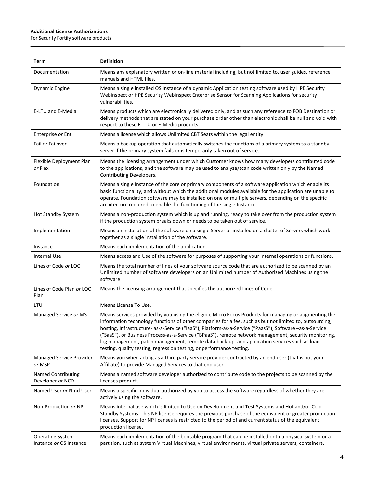$\overline{a}$ 

| Term                                               | <b>Definition</b>                                                                                                                                                                                                                                                                                                                                                                                                                                                                                                                                                                                             |
|----------------------------------------------------|---------------------------------------------------------------------------------------------------------------------------------------------------------------------------------------------------------------------------------------------------------------------------------------------------------------------------------------------------------------------------------------------------------------------------------------------------------------------------------------------------------------------------------------------------------------------------------------------------------------|
| Documentation                                      | Means any explanatory written or on-line material including, but not limited to, user guides, reference<br>manuals and HTML files.                                                                                                                                                                                                                                                                                                                                                                                                                                                                            |
| <b>Dynamic Engine</b>                              | Means a single installed OS Instance of a dynamic Application testing software used by HPE Security<br>WebInspect or HPE Security WebInspect Enterprise Sensor for Scanning Applications for security<br>vulnerabilities.                                                                                                                                                                                                                                                                                                                                                                                     |
| E-LTU and E-Media                                  | Means products which are electronically delivered only, and as such any reference to FOB Destination or<br>delivery methods that are stated on your purchase order other than electronic shall be null and void with<br>respect to these E-LTU or E-Media products.                                                                                                                                                                                                                                                                                                                                           |
| Enterprise or Ent                                  | Means a license which allows Unlimited CBT Seats within the legal entity.                                                                                                                                                                                                                                                                                                                                                                                                                                                                                                                                     |
| Fail or Failover                                   | Means a backup operation that automatically switches the functions of a primary system to a standby<br>server if the primary system fails or is temporarily taken out of service.                                                                                                                                                                                                                                                                                                                                                                                                                             |
| Flexible Deployment Plan<br>or Flex                | Means the licensing arrangement under which Customer knows how many developers contributed code<br>to the applications, and the software may be used to analyze/scan code written only by the Named<br>Contributing Developers.                                                                                                                                                                                                                                                                                                                                                                               |
| Foundation                                         | Means a single Instance of the core or primary components of a software application which enable its<br>basic functionality, and without which the additional modules available for the application are unable to<br>operate. Foundation software may be installed on one or multiple servers, depending on the specific<br>architecture required to enable the functioning of the single Instance.                                                                                                                                                                                                           |
| <b>Hot Standby System</b>                          | Means a non-production system which is up and running, ready to take over from the production system<br>if the production system breaks down or needs to be taken out of service.                                                                                                                                                                                                                                                                                                                                                                                                                             |
| Implementation                                     | Means an installation of the software on a single Server or installed on a cluster of Servers which work<br>together as a single installation of the software.                                                                                                                                                                                                                                                                                                                                                                                                                                                |
| Instance                                           | Means each implementation of the application                                                                                                                                                                                                                                                                                                                                                                                                                                                                                                                                                                  |
| Internal Use                                       | Means access and Use of the software for purposes of supporting your internal operations or functions.                                                                                                                                                                                                                                                                                                                                                                                                                                                                                                        |
| Lines of Code or LOC                               | Means the total number of lines of your software source code that are authorized to be scanned by an<br>Unlimited number of software developers on an Unlimited number of Authorized Machines using the<br>software.                                                                                                                                                                                                                                                                                                                                                                                          |
| Lines of Code Plan or LOC<br>Plan                  | Means the licensing arrangement that specifies the authorized Lines of Code.                                                                                                                                                                                                                                                                                                                                                                                                                                                                                                                                  |
| LTU                                                | Means License To Use.                                                                                                                                                                                                                                                                                                                                                                                                                                                                                                                                                                                         |
| Managed Service or MS                              | Means services provided by you using the eligible Micro Focus Products for managing or augmenting the<br>information technology functions of other companies for a fee, such as but not limited to, outsourcing,<br>hosting, Infrastructure- as-a-Service ("IaaS"), Platform-as-a-Service ("PaasS"), Software -as-a-Service<br>("SaaS"), or Business Process-as-a-Service ("BPaaS"), remote network management, security monitoring,<br>log management, patch management, remote data back-up, and application services such as load<br>testing, quality testing, regression testing, or performance testing. |
| Managed Service Provider<br>or MSP                 | Means you when acting as a third party service provider contracted by an end user (that is not your<br>Affiliate) to provide Managed Services to that end user.                                                                                                                                                                                                                                                                                                                                                                                                                                               |
| Named Contributing<br>Developer or NCD             | Means a named software developer authorized to contribute code to the projects to be scanned by the<br>licenses product.                                                                                                                                                                                                                                                                                                                                                                                                                                                                                      |
| Named User or Nmd User                             | Means a specific individual authorized by you to access the software regardless of whether they are<br>actively using the software.                                                                                                                                                                                                                                                                                                                                                                                                                                                                           |
| Non-Production or NP                               | Means internal use which is limited to Use on Development and Test Systems and Hot and/or Cold<br>Standby Systems. This NP license requires the previous purchase of the equivalent or greater production<br>licenses. Support for NP licenses is restricted to the period of and current status of the equivalent<br>production license.                                                                                                                                                                                                                                                                     |
| <b>Operating System</b><br>Instance or OS Instance | Means each implementation of the bootable program that can be installed onto a physical system or a<br>partition, such as system Virtual Machines, virtual environments, virtual private servers, containers,                                                                                                                                                                                                                                                                                                                                                                                                 |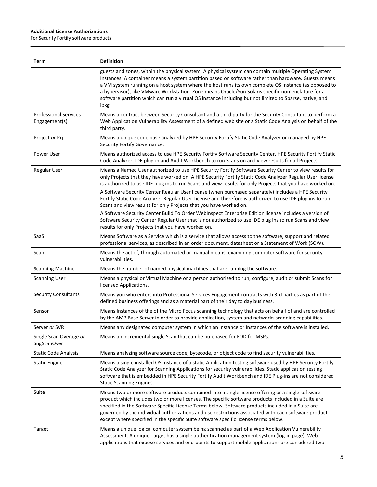$\overline{a}$ 

| Term                                          | <b>Definition</b>                                                                                                                                                                                                                                                                                                                                                                                                                                                                                                                                                                                                        |
|-----------------------------------------------|--------------------------------------------------------------------------------------------------------------------------------------------------------------------------------------------------------------------------------------------------------------------------------------------------------------------------------------------------------------------------------------------------------------------------------------------------------------------------------------------------------------------------------------------------------------------------------------------------------------------------|
|                                               | guests and zones, within the physical system. A physical system can contain multiple Operating System<br>Instances. A container means a system partition based on software rather than hardware. Guests means<br>a VM system running on a host system where the host runs its own complete OS Instance (as opposed to<br>a hypervisor), like VMware Workstation. Zone means Oracle/Sun Solaris specific nomenclature for a<br>software partition which can run a virtual OS instance including but not limited to Sparse, native, and<br>ipkg.                                                                           |
| <b>Professional Services</b><br>Engagement(s) | Means a contract between Security Consultant and a third party for the Security Consultant to perform a<br>Web Application Vulnerability Assessment of a defined web site or a Static Code Analysis on behalf of the<br>third party.                                                                                                                                                                                                                                                                                                                                                                                     |
| Project or Prj                                | Means a unique code base analyzed by HPE Security Fortify Static Code Analyzer or managed by HPE<br>Security Fortify Governance.                                                                                                                                                                                                                                                                                                                                                                                                                                                                                         |
| Power User                                    | Means authorized access to use HPE Security Fortify Software Security Center, HPE Security Fortify Static<br>Code Analyzer, IDE plug-in and Audit Workbench to run Scans on and view results for all Projects.                                                                                                                                                                                                                                                                                                                                                                                                           |
| <b>Regular User</b>                           | Means a Named User authorized to use HPE Security Fortify Software Security Center to view results for<br>only Projects that they have worked on. A HPE Security Fortify Static Code Analyzer Regular User license<br>is authorized to use IDE plug ins to run Scans and view results for only Projects that you have worked on.<br>A Software Security Center Regular User license (when purchased separately) includes a HPE Security<br>Fortify Static Code Analyzer Regular User License and therefore is authorized to use IDE plug ins to run<br>Scans and view results for only Projects that you have worked on. |
|                                               | A Software Security Center Build To Order WebInspect Enterprise Edition license includes a version of<br>Software Security Center Regular User that is not authorized to use IDE plug ins to run Scans and view<br>results for only Projects that you have worked on.                                                                                                                                                                                                                                                                                                                                                    |
| SaaS                                          | Means Software as a Service which is a service that allows access to the software, support and related<br>professional services, as described in an order document, datasheet or a Statement of Work (SOW).                                                                                                                                                                                                                                                                                                                                                                                                              |
| Scan                                          | Means the act of, through automated or manual means, examining computer software for security<br>vulnerabilities.                                                                                                                                                                                                                                                                                                                                                                                                                                                                                                        |
| <b>Scanning Machine</b>                       | Means the number of named physical machines that are running the software.                                                                                                                                                                                                                                                                                                                                                                                                                                                                                                                                               |
| <b>Scanning User</b>                          | Means a physical or Virtual Machine or a person authorized to run, configure, audit or submit Scans for<br>licensed Applications.                                                                                                                                                                                                                                                                                                                                                                                                                                                                                        |
| <b>Security Consultants</b>                   | Means you who enters into Professional Services Engagement contracts with 3rd parties as part of their<br>defined business offerings and as a material part of their day to day business.                                                                                                                                                                                                                                                                                                                                                                                                                                |
| Sensor                                        | Means Instances of the of the Micro Focus scanning technology that acts on behalf of and are controlled<br>by the AMP Base Server in order to provide application, system and networks scanning capabilities.                                                                                                                                                                                                                                                                                                                                                                                                            |
| Server or SVR                                 | Means any designated computer system in which an Instance or Instances of the software is installed.                                                                                                                                                                                                                                                                                                                                                                                                                                                                                                                     |
| Single Scan Overage or<br>SngScanOver         | Means an incremental single Scan that can be purchased for FOD for MSPs.                                                                                                                                                                                                                                                                                                                                                                                                                                                                                                                                                 |
| <b>Static Code Analysis</b>                   | Means analyzing software source code, bytecode, or object code to find security vulnerabilities.                                                                                                                                                                                                                                                                                                                                                                                                                                                                                                                         |
| <b>Static Engine</b>                          | Means a single installed OS Instance of a static Application testing software used by HPE Security Fortify<br>Static Code Analyzer for Scanning Applications for security vulnerabilities. Static application testing<br>software that is embedded in HPE Security Fortify Audit Workbench and IDE Plug-ins are not considered<br><b>Static Scanning Engines.</b>                                                                                                                                                                                                                                                        |
| Suite                                         | Means two or more software products combined into a single license offering or a single software<br>product which includes two or more licenses. The specific software products included in a Suite are<br>specified in the Software Specific License Terms below. Software products included in a Suite are<br>governed by the individual authorizations and use restrictions associated with each software product<br>except where specified in the specific Suite software specific license terms below.                                                                                                              |
| Target                                        | Means a unique logical computer system being scanned as part of a Web Application Vulnerability<br>Assessment. A unique Target has a single authentication management system (log-in page). Web<br>applications that expose services and end-points to support mobile applications are considered two                                                                                                                                                                                                                                                                                                                    |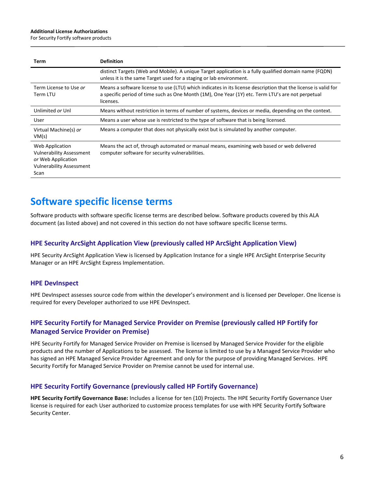For Security Fortify software products

| Term                                                                                                                | <b>Definition</b>                                                                                                                                                                                                                |
|---------------------------------------------------------------------------------------------------------------------|----------------------------------------------------------------------------------------------------------------------------------------------------------------------------------------------------------------------------------|
|                                                                                                                     | distinct Targets (Web and Mobile). A unique Target application is a fully qualified domain name (FQDN)<br>unless it is the same Target used for a staging or lab environment.                                                    |
| Term License to Use or<br>Term LTU                                                                                  | Means a software license to use (LTU) which indicates in its license description that the license is valid for<br>a specific period of time such as One Month (1M), One Year (1Y) etc. Term LTU's are not perpetual<br>licenses. |
| Unlimited or Unl                                                                                                    | Means without restriction in terms of number of systems, devices or media, depending on the context.                                                                                                                             |
| User                                                                                                                | Means a user whose use is restricted to the type of software that is being licensed.                                                                                                                                             |
| Virtual Machine(s) or<br>VM(s)                                                                                      | Means a computer that does not physically exist but is simulated by another computer.                                                                                                                                            |
| Web Application<br><b>Vulnerability Assessment</b><br>or Web Application<br><b>Vulnerability Assessment</b><br>Scan | Means the act of, through automated or manual means, examining web based or web delivered<br>computer software for security vulnerabilities.                                                                                     |

# **Software specific license terms**

Software products with software specific license terms are described below. Software products covered by this ALA document (as listed above) and not covered in this section do not have software specific license terms.

### **HPE Security ArcSight Application View (previously called HP ArcSight Application View)**

HPE Security ArcSight Application View is licensed by Application Instance for a single HPE ArcSight Enterprise Security Manager or an HPE ArcSight Express Implementation.

#### **HPE DevInspect**

HPE DevInspect assesses source code from within the developer's environment and is licensed per Developer. One license is required for every Developer authorized to use HPE DevInspect.

# **HPE Security Fortify for Managed Service Provider on Premise (previously called HP Fortify for Managed Service Provider on Premise)**

HPE Security Fortify for Managed Service Provider on Premise is licensed by Managed Service Provider for the eligible products and the number of Applications to be assessed. The license is limited to use by a Managed Service Provider who has signed an HPE Managed Service Provider Agreement and only for the purpose of providing Managed Services. HPE Security Fortify for Managed Service Provider on Premise cannot be used for internal use.

#### **HPE Security Fortify Governance (previously called HP Fortify Governance)**

**HPE Security Fortify Governance Base:** Includes a license for ten (10) Projects. The HPE Security Fortify Governance User license is required for each User authorized to customize process templates for use with HPE Security Fortify Software Security Center.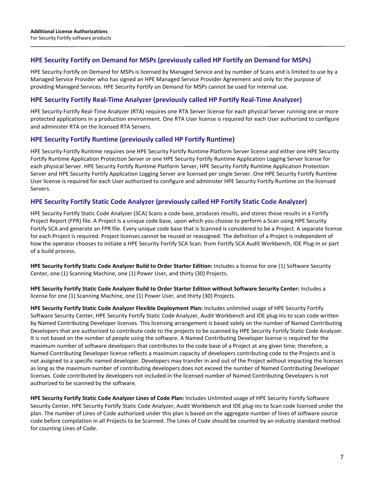# **HPE Security Fortify on Demand for MSPs (previously called HP Fortify on Demand for MSPs)**

HPE Security Fortify on Demand for MSPs is licensed by Managed Service and by number of Scans and is limited to use by a Managed Service Provider who has signed an HPE Managed Service Provider Agreement and only for the purpose of providing Managed Services. HPE Security Fortify on Demand for MSPs cannot be used for internal use.

# **HPE Security Fortify Real-Time Analyzer (previously called HP Fortify Real-Time Analyzer)**

HPE Security Fortify Real-Time Analyzer (RTA) requires one RTA Server license for each physical Server running one or more protected applications in a production environment. One RTA User license is required for each User authorized to configure and administer RTA on the licensed RTA Servers.

# **HPE Security Fortify Runtime (previously called HP Fortify Runtime)**

HPE Security Fortify Runtime requires one HPE Security Fortify Runtime Platform Server license and either one HPE Security Fortify Runtime Application Protection Server or one HPE Security Fortify Runtime Application Logging Server license for each physical Server. HPE Security Fortify Runtime Platform Server, HPE Security Fortify Runtime Application Protection Server and HPE Security Fortify Application Logging Server are licensed per single Server. One HPE Security Fortify Runtime User license is required for each User authorized to configure and administer HPE Security Fortify Runtime on the licensed Servers.

# **HPE Security Fortify Static Code Analyzer (previously called HP Fortify Static Code Analyzer)**

HPE Security Fortify Static Code Analyzer (SCA) Scans a code base, produces results, and stores those results in a Fortify Project Report (FPR) file. A Project is a unique code base, upon which you choose to perform a Scan using HPE Security Fortify SCA and generate an FPR file. Every unique code base that is Scanned is considered to be a Project. A separate license for each Project is required. Project licenses cannot be reused or reassigned. The definition of a Project is independent of how the operator chooses to initiate a HPE Security Fortify SCA Scan: from Fortify SCA Audit Workbench, IDE Plug-In or part of a build process.

**HPE Security Fortify Static Code Analyzer Build to Order Starter Edition:** Includes a license for one (1) Software Security Center, one (1) Scanning Machine, one (1) Power User, and thirty (30) Projects.

**HPE Security Fortify Static Code Analyzer Build to Order Starter Edition without Software Security Center:** Includes a license for one (1) Scanning Machine, one (1) Power User, and thirty (30) Projects.

**HPE Security Fortify Static Code Analyzer Flexible Deployment Plan:** Includes unlimited usage of HPE Security Fortify Software Security Center, HPE Security Fortify Static Code Analyzer, Audit Workbench and IDE plug-ins to scan code written by Named Contributing Developer licenses. This licensing arrangement is based solely on the number of Named Contributing Developers that are authorized to contribute code to the projects to be scanned by HPE Security Fortify Static Code Analyzer. It is not based on the number of people using the software. A Named Contributing Developer license is required for the maximum number of software developers that contributes to the code base of a Project at any given time; therefore, a Named Contributing Developer license reflects a maximum capacity of developers contributing code to the Projects and is not assigned to a specific named developer. Developers may transfer in and out of the Project without impacting the licenses as long as the maximum number of contributing developers does not exceed the number of Named Contributing Developer licenses. Code contributed by developers not included in the licensed number of Named Contributing Developers is not authorized to be scanned by the software.

**HPE Security Fortify Static Code Analyzer Lines of Code Plan:** Includes Unlimited usage of HPE Security Fortify Software Security Center, HPE Security Fortify Static Code Analyzer, Audit Workbench and IDE plug-ins to Scan code licensed under the plan. The number of Lines of Code authorized under this plan is based on the aggregate number of lines of software source code before compilation in all Projects to be Scanned. The Lines of Code should be counted by an industry standard method for counting Lines of Code.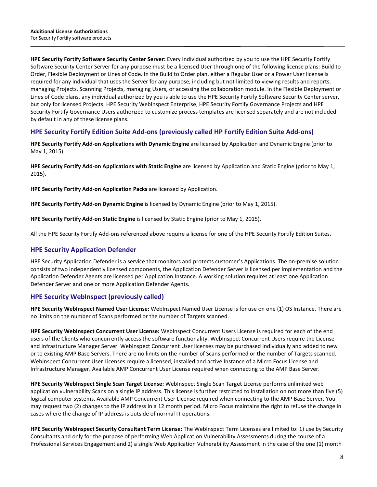**HPE Security Fortify Software Security Center Server:** Every individual authorized by you to use the HPE Security Fortify Software Security Center Server for any purpose must be a licensed User through one of the following license plans: Build to Order, Flexible Deployment or Lines of Code. In the Build to Order plan, either a Regular User or a Power User license is required for any individual that uses the Server for any purpose, including but not limited to viewing results and reports, managing Projects, Scanning Projects, managing Users, or accessing the collaboration module. In the Flexible Deployment or Lines of Code plans, any individual authorized by you is able to use the HPE Security Fortify Software Security Center server, but only for licensed Projects. HPE Security WebInspect Enterprise, HPE Security Fortify Governance Projects and HPE Security Fortify Governance Users authorized to customize process templates are licensed separately and are not included by default in any of these license plans.

#### **HPE Security Fortify Edition Suite Add-ons (previously called HP Fortify Edition Suite Add-ons)**

**HPE Security Fortify Add-on Applications with Dynamic Engine** are licensed by Application and Dynamic Engine (prior to May 1, 2015).

**HPE Security Fortify Add-on Applications with Static Engine** are licensed by Application and Static Engine (prior to May 1, 2015).

**HPE Security Fortify Add-on Application Packs** are licensed by Application.

**HPE Security Fortify Add-on Dynamic Engine** is licensed by Dynamic Engine (prior to May 1, 2015).

**HPE Security Fortify Add-on Static Engine** is licensed by Static Engine (prior to May 1, 2015).

All the HPE Security Fortify Add-ons referenced above require a license for one of the HPE Security Fortify Edition Suites.

#### **HPE Security Application Defender**

HPE Security Application Defender is a service that monitors and protects customer's Applications. The on-premise solution consists of two independently licensed components, the Application Defender Server is licensed per Implementation and the Application Defender Agents are licensed per Application Instance. A working solution requires at least one Application Defender Server and one or more Application Defender Agents.

#### **HPE Security WebInspect (previously called)**

**HPE Security WebInspect Named User License:** WebInspect Named User License is for use on one (1) OS Instance. There are no limits on the number of Scans performed or the number of Targets scanned.

**HPE Security WebInspect Concurrent User License:** WebInspect Concurrent Users License is required for each of the end users of the Clients who concurrently access the software functionality. WebInspect Concurrent Users require the License and Infrastructure Manager Server. WebInspect Concurrent User licenses may be purchased individually and added to new or to existing AMP Base Servers. There are no limits on the number of Scans performed or the number of Targets scanned. WebInspect Concurrent User Licenses require a licensed, installed and active Instance of a Micro Focus License and Infrastructure Manager. Available AMP Concurrent User License required when connecting to the AMP Base Server.

**HPE Security WebInspect Single Scan Target License:** WebInspect Single Scan Target License performs unlimited web application vulnerability Scans on a single IP address. This license is further restricted to installation on not more than five (5) logical computer systems. Available AMP Concurrent User License required when connecting to the AMP Base Server. You may request two (2) changes to the IP address in a 12 month period. Micro Focus maintains the right to refuse the change in cases where the change of IP address is outside of normal IT operations.

**HPE Security WebInspect Security Consultant Term License:** The WebInspect Term Licenses are limited to: 1) use by Security Consultants and only for the purpose of performing Web Application Vulnerability Assessments during the course of a Professional Services Engagement and 2) a single Web Application Vulnerability Assessment in the case of the one (1) month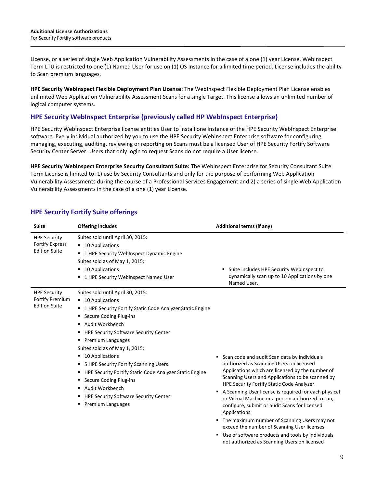License, or a series of single Web Application Vulnerability Assessments in the case of a one (1) year License. WebInspect Term LTU is restricted to one (1) Named User for use on (1) OS Instance for a limited time period. License includes the ability to Scan premium languages.

**HPE Security WebInspect Flexible Deployment Plan License:** The WebInspect Flexible Deployment Plan License enables unlimited Web Application Vulnerability Assessment Scans for a single Target. This license allows an unlimited number of logical computer systems.

#### **HPE Security WebInspect Enterprise (previously called HP WebInspect Enterprise)**

HPE Security WebInspect Enterprise license entitles User to install one Instance of the HPE Security WebInspect Enterprise software. Every individual authorized by you to use the HPE Security WebInspect Enterprise software for configuring, managing, executing, auditing, reviewing or reporting on Scans must be a licensed User of HPE Security Fortify Software Security Center Server. Users that only login to request Scans do not require a User license.

**HPE Security WebInspect Enterprise Security Consultant Suite:** The WebInspect Enterprise for Security Consultant Suite Term License is limited to: 1) use by Security Consultants and only for the purpose of performing Web Application Vulnerability Assessments during the course of a Professional Services Engagement and 2) a series of single Web Application Vulnerability Assessments in the case of a one (1) year License.

| <b>Suite</b>                                                          | <b>Offering includes</b>                                                                                                                                                                                                                                                                                                                                                                                                                                                                                                           | <b>Additional terms (if any)</b>                                                                                                                                                                                                                                                                                                                                                                                                                                                                                                                                                                                                           |
|-----------------------------------------------------------------------|------------------------------------------------------------------------------------------------------------------------------------------------------------------------------------------------------------------------------------------------------------------------------------------------------------------------------------------------------------------------------------------------------------------------------------------------------------------------------------------------------------------------------------|--------------------------------------------------------------------------------------------------------------------------------------------------------------------------------------------------------------------------------------------------------------------------------------------------------------------------------------------------------------------------------------------------------------------------------------------------------------------------------------------------------------------------------------------------------------------------------------------------------------------------------------------|
| <b>HPE Security</b><br><b>Fortify Express</b><br><b>Edition Suite</b> | Suites sold until April 30, 2015:<br>■ 10 Applications<br>" 1 HPE Security WebInspect Dynamic Engine<br>Suites sold as of May 1, 2015:<br>■ 10 Applications<br>■ 1 HPE Security WebInspect Named User                                                                                                                                                                                                                                                                                                                              | Suite includes HPE Security WebInspect to<br>٠<br>dynamically scan up to 10 Applications by one<br>Named User.                                                                                                                                                                                                                                                                                                                                                                                                                                                                                                                             |
| <b>HPE Security</b><br><b>Fortify Premium</b><br><b>Edition Suite</b> | Suites sold until April 30, 2015:<br>■ 10 Applications<br>" 1 HPE Security Fortify Static Code Analyzer Static Engine<br>• Secure Coding Plug-ins<br>■ Audit Workbench<br><b>HPE Security Software Security Center</b><br>Premium Languages<br>٠<br>Suites sold as of May 1, 2015:<br>■ 10 Applications<br>• 5 HPE Security Fortify Scanning Users<br>■ HPE Security Fortify Static Code Analyzer Static Engine<br>• Secure Coding Plug-ins<br>■ Audit Workbench<br>" HPE Security Software Security Center<br>• Premium Languages | Scan code and audit Scan data by individuals<br>authorized as Scanning Users on licensed<br>Applications which are licensed by the number of<br>Scanning Users and Applications to be scanned by<br>HPE Security Fortify Static Code Analyzer.<br>A Scanning User license is required for each physical<br>٠<br>or Virtual Machine or a person authorized to run,<br>configure, submit or audit Scans for licensed<br>Applications.<br>• The maximum number of Scanning Users may not<br>exceed the number of Scanning User licenses.<br>Use of software products and tools by individuals<br>not authorized as Scanning Users on licensed |

# **HPE Security Fortify Suite offerings**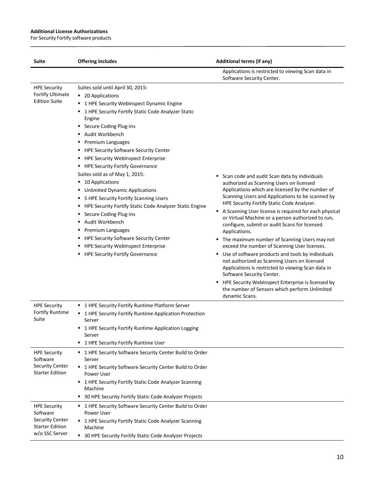$\overline{a}$ 

| Suite                                                                                                 | <b>Offering includes</b>                                                                                                                                                                                                                                                                                                                                                                                                                                                                                                                                                                                                                                                                                                                                                                                                                                               | <b>Additional terms (if any)</b>                                                                                                                                                                                                                                                                                                                                                                                                                                                                                                                                                                                                                                                                                                                                                                                                                     |
|-------------------------------------------------------------------------------------------------------|------------------------------------------------------------------------------------------------------------------------------------------------------------------------------------------------------------------------------------------------------------------------------------------------------------------------------------------------------------------------------------------------------------------------------------------------------------------------------------------------------------------------------------------------------------------------------------------------------------------------------------------------------------------------------------------------------------------------------------------------------------------------------------------------------------------------------------------------------------------------|------------------------------------------------------------------------------------------------------------------------------------------------------------------------------------------------------------------------------------------------------------------------------------------------------------------------------------------------------------------------------------------------------------------------------------------------------------------------------------------------------------------------------------------------------------------------------------------------------------------------------------------------------------------------------------------------------------------------------------------------------------------------------------------------------------------------------------------------------|
|                                                                                                       |                                                                                                                                                                                                                                                                                                                                                                                                                                                                                                                                                                                                                                                                                                                                                                                                                                                                        | Applications is restricted to viewing Scan data in<br>Software Security Center.                                                                                                                                                                                                                                                                                                                                                                                                                                                                                                                                                                                                                                                                                                                                                                      |
| <b>HPE Security</b><br>Fortify Ultimate<br><b>Edition Suite</b>                                       | Suites sold until April 30, 2015:<br>■ 20 Applications<br>1 HPE Security WebInspect Dynamic Engine<br>٠<br>1 HPE Security Fortify Static Code Analyzer Static<br>٠<br>Engine<br>Secure Coding Plug-ins<br>٠<br>Audit Workbench<br>٠<br>Premium Languages<br>٠<br><b>HPE Security Software Security Center</b><br>٠<br><b>HPE Security WebInspect Enterprise</b><br>٠<br>" HPE Security Fortify Governance<br>Suites sold as of May 1, 2015:<br>10 Applications<br>٠<br><b>Unlimited Dynamic Applications</b><br>٠<br>5 HPE Security Fortify Scanning Users<br>٠<br>HPE Security Fortify Static Code Analyzer Static Engine<br>٠<br>Secure Coding Plug-ins<br>٠<br>Audit Workbench<br>٠<br>Premium Languages<br>٠<br><b>HPE Security Software Security Center</b><br>٠<br><b>HPE Security WebInspect Enterprise</b><br>٠<br><b>HPE Security Fortify Governance</b><br>п | Scan code and audit Scan data by individuals<br>authorized as Scanning Users on licensed<br>Applications which are licensed by the number of<br>Scanning Users and Applications to be scanned by<br>HPE Security Fortify Static Code Analyzer.<br>A Scanning User license is required for each physical<br>or Virtual Machine or a person authorized to run,<br>configure, submit or audit Scans for licensed<br>Applications.<br>• The maximum number of Scanning Users may not<br>exceed the number of Scanning User licenses.<br>■ Use of software products and tools by individuals<br>not authorized as Scanning Users on licensed<br>Applications is restricted to viewing Scan data in<br>Software Security Center.<br>• HPE Security WebInspect Enterprise is licensed by<br>the number of Sensors which perform Unlimited<br>dynamic Scans. |
| <b>HPE Security</b><br><b>Fortify Runtime</b><br>Suite                                                | " 1 HPE Security Fortify Runtime Platform Server<br>■ 1 HPE Security Fortify Runtime Application Protection<br>Server<br>" 1 HPE Security Fortify Runtime Application Logging<br>Server<br>1 HPE Security Fortify Runtime User<br>٠                                                                                                                                                                                                                                                                                                                                                                                                                                                                                                                                                                                                                                    |                                                                                                                                                                                                                                                                                                                                                                                                                                                                                                                                                                                                                                                                                                                                                                                                                                                      |
| <b>HPE Security</b><br>Software<br><b>Security Center</b><br><b>Starter Edition</b>                   | " 1 HPE Security Software Security Center Build to Order<br>Server<br>" 1 HPE Security Software Security Center Build to Order<br>Power User<br>1 HPE Security Fortify Static Code Analyzer Scanning<br>Machine<br>• 30 HPE Security Fortify Static Code Analyzer Projects                                                                                                                                                                                                                                                                                                                                                                                                                                                                                                                                                                                             |                                                                                                                                                                                                                                                                                                                                                                                                                                                                                                                                                                                                                                                                                                                                                                                                                                                      |
| <b>HPE Security</b><br>Software<br><b>Security Center</b><br><b>Starter Edition</b><br>w/o SSC Server | " 1 HPE Security Software Security Center Build to Order<br>Power User<br>1 HPE Security Fortify Static Code Analyzer Scanning<br>٠<br>Machine<br>30 HPE Security Fortify Static Code Analyzer Projects<br>٠                                                                                                                                                                                                                                                                                                                                                                                                                                                                                                                                                                                                                                                           |                                                                                                                                                                                                                                                                                                                                                                                                                                                                                                                                                                                                                                                                                                                                                                                                                                                      |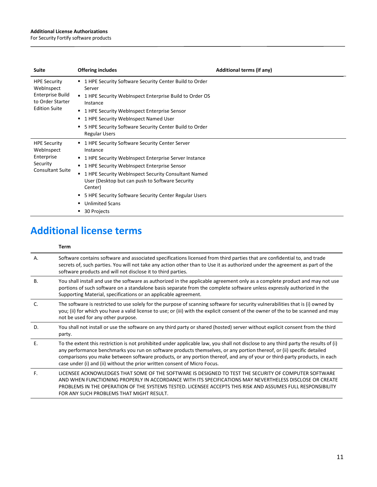$\overline{a}$ 

For Security Fortify software products

| <b>Suite</b>                                                                                      | <b>Offering includes</b>                                                                                                                                                                                                                                                                                                                                                                                               | Additional terms (if any) |
|---------------------------------------------------------------------------------------------------|------------------------------------------------------------------------------------------------------------------------------------------------------------------------------------------------------------------------------------------------------------------------------------------------------------------------------------------------------------------------------------------------------------------------|---------------------------|
| <b>HPE Security</b><br>WebInspect<br>Enterprise Build<br>to Order Starter<br><b>Edition Suite</b> | ■ 1 HPE Security Software Security Center Build to Order<br>Server<br>1 HPE Security WebInspect Enterprise Build to Order OS<br>$\blacksquare$<br>Instance<br>1 HPE Security WebInspect Enterprise Sensor<br>٠<br>1 HPE Security WebInspect Named User<br>٠<br>5 HPE Security Software Security Center Build to Order<br>٠<br><b>Regular Users</b>                                                                     |                           |
| <b>HPE Security</b><br>WebInspect<br>Enterprise<br>Security<br><b>Consultant Suite</b>            | ■ 1 HPE Security Software Security Center Server<br>Instance<br>1 HPE Security WebInspect Enterprise Server Instance<br>л.<br>1 HPE Security WebInspect Enterprise Sensor<br>٠<br>1 HPE Security WebInspect Security Consultant Named<br>٠<br>User (Desktop but can push to Software Security<br>Center)<br>• 5 HPE Security Software Security Center Regular Users<br><b>Unlimited Scans</b><br>٠<br>30 Projects<br>٠ |                           |

# **Additional license terms**

#### **Term**

| Α.           | Software contains software and associated specifications licensed from third parties that are confidential to, and trade<br>secrets of, such parties. You will not take any action other than to Use it as authorized under the agreement as part of the<br>software products and will not disclose it to third parties.                                                                                                                                              |
|--------------|-----------------------------------------------------------------------------------------------------------------------------------------------------------------------------------------------------------------------------------------------------------------------------------------------------------------------------------------------------------------------------------------------------------------------------------------------------------------------|
| <b>B.</b>    | You shall install and use the software as authorized in the applicable agreement only as a complete product and may not use<br>portions of such software on a standalone basis separate from the complete software unless expressly authorized in the<br>Supporting Material, specifications or an applicable agreement.                                                                                                                                              |
| $\mathsf{C}$ | The software is restricted to use solely for the purpose of scanning software for security vulnerabilities that is (i) owned by<br>you; (ii) for which you have a valid license to use; or (iii) with the explicit consent of the owner of the to be scanned and may<br>not be used for any other purpose.                                                                                                                                                            |
| D.           | You shall not install or use the software on any third party or shared (hosted) server without explicit consent from the third<br>party.                                                                                                                                                                                                                                                                                                                              |
| Ε.           | To the extent this restriction is not prohibited under applicable law, you shall not disclose to any third party the results of (i)<br>any performance benchmarks you run on software products themselves, or any portion thereof, or (ii) specific detailed<br>comparisons you make between software products, or any portion thereof, and any of your or third-party products, in each<br>case under (i) and (ii) without the prior written consent of Micro Focus. |
| F.           | LICENSEE ACKNOWLEDGES THAT SOME OF THE SOFTWARE IS DESIGNED TO TEST THE SECURITY OF COMPUTER SOFTWARE<br>AND WHEN FUNCTIONING PROPERLY IN ACCORDANCE WITH ITS SPECIFICATIONS MAY NEVERTHELESS DISCLOSE OR CREATE<br>PROBLEMS IN THE OPERATION OF THE SYSTEMS TESTED. LICENSEE ACCEPTS THIS RISK AND ASSUMES FULL RESPONSIBILITY<br>FOR ANY SUCH PROBLEMS THAT MIGHT RESULT.                                                                                           |